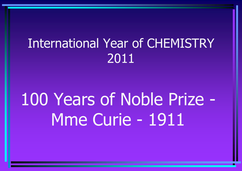# International Year of CHEMISTRY 2011

# 100 Years of Noble Prize - Mme Curie - 1911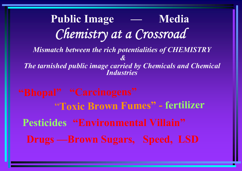**Public Image — Media** *Chemistry at a Crossroad Mismatch between the rich potentialities of CHEMISTRY &The tarnished public image carried by Chemicals and Chemical Industries*"**Toxic Brown Fumes" - fertilizer Pesticides "Environmental Villain" Drugs —Brown Sugars, Speed, LSD**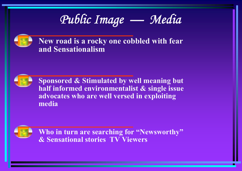

**New road is a rocky one cobbled with fear and Sensationalism**



**Sponsored & Stimulated by well meaning but half informed environmentalist & single issue advocates who are well versed in exploiting media** 



**Who in turn are searching for "Newsworthy" & Sensational stories TV Viewers**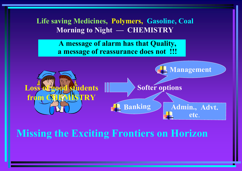**Life saving Medicines, Polymers, Gasoline, Coal Morning to Night — CHEMISTRY**

> **A message of alarm has that Quality, a message of reassurance does not !!!**



# **Missing the Exciting Frontiers on Horizon**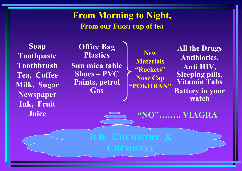### **From Morning to Night, From our FIRST cup of tea**

**Soap Toothpaste Toothbrush Tea, Coffee Milk, Sugar Newspaper Ink, Fruit Juice**

**Office Bag Plastics Sun mica table Shoes – PVC Paints, petrol Gas**

**s**

**NewMaterials "Rockets" Nose Cap "POKHRAN"**

**C HEM I STRY &**

 $\mathbf{C}$ **HEMISTRY** 

**All the Drugs Antibiotics, Anti HIV, Sleeping pills, Vitamin Tabs Battery in your watch**

**"NO"…….. VIAGRA**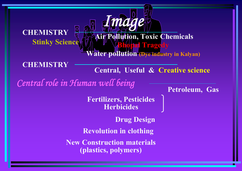#### **CHEMISTRYStinky Science**

**Ater pollution (Dye industry in Kalyan)** 

**Air Pollution, Toxic Chemicals**

**CHEMISTRY**

**Central, Useful & Creative science**

**Phagedy** 

*Central role in Human well being*

**Petroleum, Gas**

**Fertilizers, Pesticides Herbicides**

*Image*

**Drug Design**

**Revolution in clothing**

**New Construction materials (plastics, polymers)**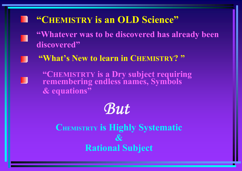## **"CHEMISTRY is an OLD Science"**

**"Whatever was to be discovered has already been discovered"**

**"What's New to learn in CHEMISTRY? "**

**"CHEMISTRTY is a Dry subject requiring remembering endless names, Symbols & equations"**

# *But*

**CHEMISTRTY is Highly Systematic**   $\boldsymbol{\mathcal{X}}$ **Rational Subject**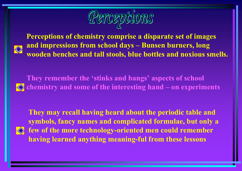

**Perceptions of chemistry comprise a disparate set of images and impressions from school days – Bunsen burners, long wooden benches and tall stools, blue bottles and noxious smells.**

**They remember the 'stinks and bangs' aspects of school chemistry and some of the interesting hand – on experiments**

**They may recall having heard about the periodic table and symbols, fancy names and complicated formulae, but only a few of the more technology-oriented men could remember having learned anything meaning-ful from these lessons**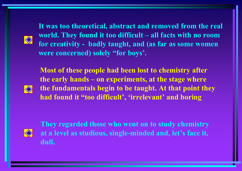**It was too theoretical, abstract and removed from the real world. They found it too difficult – all facts with no room for creativity - badly taught, and (as far as some women were concerned) solely "for boys'.** 

**Most of these people had been lost to chemistry after the early hands – on experiments, at the stage where the fundamentals begin to be taught. At that point they had found it "too difficult', 'irrelevant' and boring**



**They regarded those who went on to study chemistry at a level as studious, single-minded and, let's face it, dull.**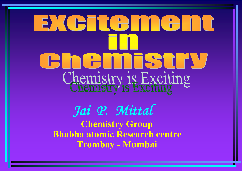# EXCHCAMCANT Chennistry Chemistry is Exciting

*Jai P. Mittal* **Chemistry Group Bhabha atomic Research centre Trombay - Mumbai**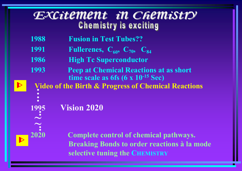## Excitement in Chemistry **Chemistry is exciting**

- **1988 Fusion in Test Tubes??**
- **1991 •• Fullerenes,**  $C_{60}$ **,**  $C_{70}$ **,**  $C_{84}$
- **1986 High Tc Superconductor**
- **1993 Peep at Chemical Reactions at as short time scale as 6fs (6 x 10-15 Sec)**

**Video of the Birth & Progress of Chemical Reactions ….**

**.Vision 2020**

 $\blacktriangleright$ 

 $\blacktriangleright$ 

**1995** 

**. ~~**

**..**

**2020 Complete control of chemical pathways. Breaking Bonds to order reactions à la mode selective tuning the CHEMISTRY**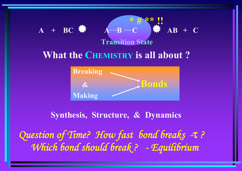# $A + BC$  **A**  $A \oplus B \oplus C$  **A**  $AB + C$ **Transition State \* # \*\* !! What the CHEMISTRY is all about ?**



**Synthesis, Structure, & Dynamics**

*Question of Time? How fast bond breaks -*<sup>τ</sup> *? Which bond should break ? - Equilibrium*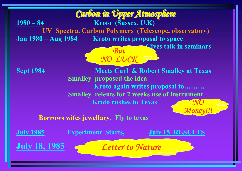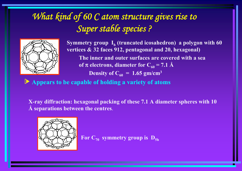# *What kind of 60 C atom structure gives rise to Super stable species ?*



**Symmetry group I h (truncated icosahedron) a polygon with 60 vertices & 32 faces 912, pentagonal and 20, hexagonal) The inner and outer surfaces are covered with a sea of π electrons, diameter for C** $_{60}$  **= 7.1 Å Density of**  $C_{60}$  **= 1.65 gm/cm<sup>3</sup>** 

O **Appears to be capable of holding a variety of atoms**

**X-ray diffraction: hexagonal packing of these 7.1 A diameter spheres with 10 Å separations between the centres**.



 $\mathbf{For} \ \mathbf{C}_{70}$  symmetry group is  $\mathbf{D}_{\mathbf{Sh}}$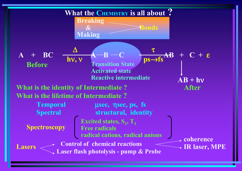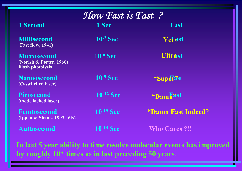| How Fast is Fast?                                                        |                |                      |
|--------------------------------------------------------------------------|----------------|----------------------|
| <b>1 Second</b>                                                          | 1 Sec          | Fast                 |
| <b>Millisecond</b><br><b>(Fast flow, 1941)</b>                           | $10^{-3}$ Sec  | <b>Verast</b>        |
| <b>Microsecond</b><br>(Norish & Porter, 1960)<br><b>Flash photolysis</b> | $10^{-6}$ Sec  | <b>UltFast</b>       |
| <b>Nanoosecond</b><br>(Q-switched laser)                                 | $10^{-9}$ Sec  | "Superast            |
| <b>Picosecond</b><br>(mode locked laser)                                 | $10^{-12}$ Sec | "Dam Fast            |
| Femtosecond<br>(Ippen & Shank, 1993, 6fs)                                | $10^{-15}$ Sec | "Damn Fast Indeed"   |
| Auttosecond                                                              | $10^{-18}$ Sec | <b>Who Cares ?!!</b> |

**In last 5 year ability to time resolve molecular events has improved by roughly 10-6 times as in last preceding 50 years**.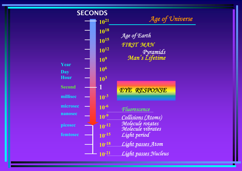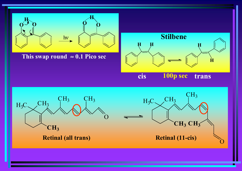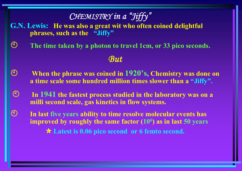## *CHEMISTRY in a "Jiffy"*

**G.N. Lewis: He was also a great wit who often coined delightful phrases, such as the "Jiffy"**

 $\binom{1}{2}$ **The time taken by a photon to travel 1cm, or 33 pico seconds.**

#### *But*

- $\begin{pmatrix} 1 \\ 1 \end{pmatrix}$  **When the phrase was coined in 1920's, Chemistry was done on a time scale some hundred million times slower than a "Jiffy".**
- $\bigodot$  **In 1941 the fastest process studied in the laboratory was on a milli second scale, gas kinetics in flow systems.**
- $\mathfrak{P}$  **In last five years ability to time resolve molecular events has improved by roughly the same factor (106) as in last 50 years** e **Latest is 0.06 pico second or 6 femto second.**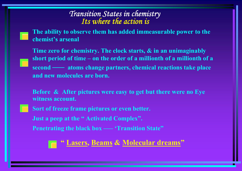# *Transition States in chemistry Its where the action is*

**The ability to observe them has added immeasurable power to the chemist's arsenal**

**Time zero for chemistry. The clock starts, & in an unimaginably short period of time – on the order of a millionth of a millionth of a second –— atoms change partners, chemical reactions take place and new molecules are born.**

**Before & After pictures were easy to get but there were no Eye witness account.**

**Sort of freeze frame pictures or even better.**

**Just a peep at the " Activated Complex".**

**Penetrating the black box –— 'Transition State"**

**" Lasers, Beams & Molecular dreams "**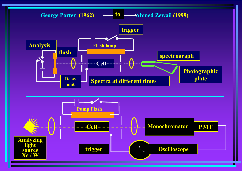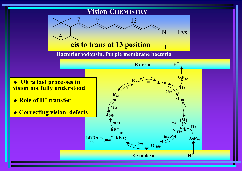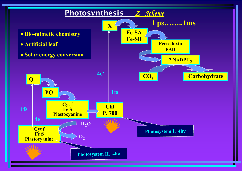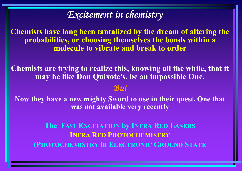## *Excitement in chemistry*

**Chemists have long been tantalized by the dream of altering the probabilities, or choosing themselves the bonds within a molecule to vibrate and break to order**

**Chemists are trying to realize this, knowing all the while, that it may be like Don Quixote's, be an impossible One.**

#### *But*

**Now they have a new mighty Sword to use in their quest, One that was not available very recently**

**The FAST EXCITATION by INFRA RED LASERS INFRA RED PHOTOCHEMISTRY (PHOTOCHEMISTRY in ELECTRONIC GROUND STATE**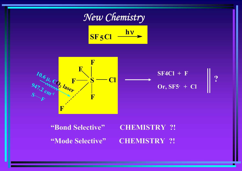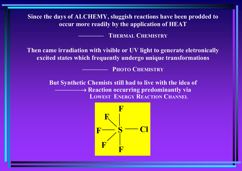**Since the days of ALCHEMY, sluggish reactions have been prodded to occur more readily by the application of HEAT**

 **THERMALCHEMISTRY**

**Then came irradiation with visible or UV light to generate eletronically excited states which frequently undergo unique transformations**

 **PHOTOCHEMISTRY**

**But Synthetic Chemists still had to live with the idea of**  → **Reaction occurring predominantly via LOWESTENERGYREACTIONCHANNEL**

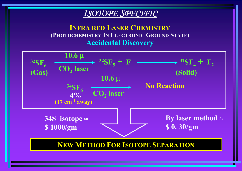#### *ISOTOPE SPECIFIC*

**INFRA RED LASER CHEMISTRY (PHOTOCHEMISTRY IN ELECTRONIC GROUND STATE) Accidental Discovery**

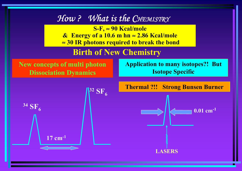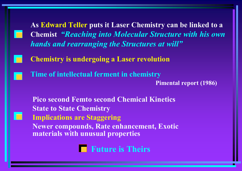**As Edward Teller puts it Laser Chemistry can be linked to a Chemist** *"Reaching into Molecular Structure with his own hands and rearranging the Structures at will"*

**Chemistry is undergoing a Laser revolution**

**Time of intellectual ferment in chemistry**

**Pimental report (1986)**

**Pico second Femto second Chemical Kinetics State to State Chemistry Implications are Staggering Newer compounds, Rate enhancement, Exotic materials with unusual properties**

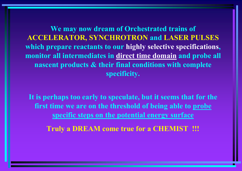**We may now dream of Orchestrated trains of ACCELERATOR, SYNCHROTRON and LASER PULSES which prepare reactants to our highly selective specifications, monitor all intermediates in direct time domain and probe all nascent products & their final conditions with complete specificity.**

**It is perhaps too early to speculate, but it seems that for the first time we are on the threshold of being able to probe specific steps on the potential energy surface**

**Truly a DREAM come true for a CHEMIST !!!**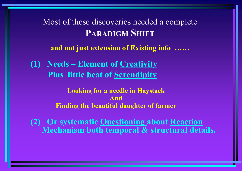Most of these discoveries needed a complete **PARADIGMSHIFT**

**and not just extension of Existing info ……**

**(1) Needs – Element of Creativity Plus little beat of Serendipity**

> **Looking for a needle in Haystack AndFinding the beautiful daughter of farmer**

**(2) Or systematic Questioning about Reaction Mechanism both temporal & structural details.**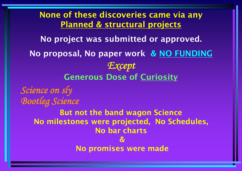#### **None of these discoveries came via any Planned & structural projects**

**No project was submitted or approved.** 

**No proposal, No paper work & NO FUNDING** *Except* **Generous Dose of Curiosity**

*Science on sly Bootleg Science*

> **But not the band wagon Science No milestones were projected, No Schedules, No bar charts &No promises were made**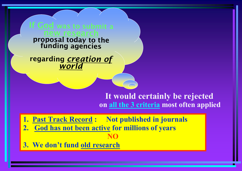**If Godproposal today to the funding agencies**

**regarding** *creation of world*

> **It would certainly be rejected on all the 3 criteria most often applied**

**1. Past Track Record : Not published in journals**

- **2. God has not been active for millions of years NO**
- **3. We don't fund old research**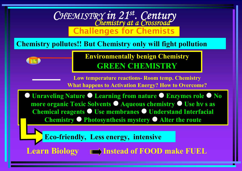

#### **Chemistry pollutes!! But Chemistry only will fight pollution**

**Environmentally benign Chemistry GREEN CHEMISTRY**

**Low temperature reactions- Room temp. Chemistry What happens to Activation Energy? How to Overcome?**

 $\bullet$  **Unraveling Nature Learning from nature Enzymes role No more organic Toxic Solvents Aqueous chemistry Use h**<sup>ν</sup> **s as Chemical reagents Use membranes Understand Interfacial Chemistry Photosynthesis mystery Alter the route**

**Eco-friendly, Less energy, intensive**

**Learn Biology**  $\blacksquare$  Instead of FOOD make FUEL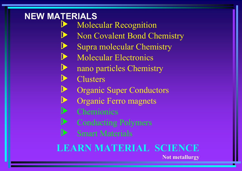#### **NEW MATERIALS** O

 $\blacktriangleright$ 

O

- Molecular Recognition
- ONon Covalent Bond Chemistry
- OSupra molecular Chemistry
- **D** Molecular Electronics
	- nano particles Chemistry
- O**Clusters**
- $\blacktriangleright$ Organic Super Conductors
	- Organic Ferro magnets
- O**Chemionics**
- **D** Conducting Polymers
- OSmart Materials

# **LEARN MATERIAL SCIENCE**

**Not metallurgy**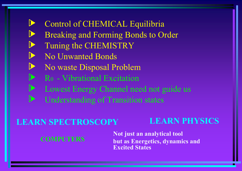#### $\blacktriangleright$ Control of CHEMICAL Equilibria

- OBreaking and Forming Bonds to Order
- OTuning the CHEMISTRY
- ONo Unwanted Bonds
- $\blacktriangleright$ No waste Disposal Problem
- $\blacktriangleright$ R0 - Vibrational Excitation
- $\blacktriangleright$ Lowest Energy Channel need not guide us
- $\blacktriangleright$ Understanding of Transition states

#### **LEARN SPECTROSCOPYLEARN PHYSICS**

#### **COMPUTERS**

 **Not just an analytical tool but as Energetics, dynamics and Excited States**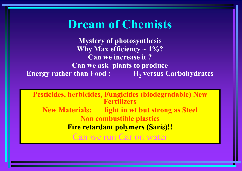# **Dream of Chemists**

**Mystery of photosynthesis Why Max efficiency ~ 1%? Can we increase it ?Can we ask plants to produce Energy rather than Food : H 2 versus Carbohydrates**

**Pesticides, herbicides, Fungicides (biodegradable) New Fertilizers** New Materials: **light in wt but strong as Steel Non combustible plastics Fire retardant polymers (Saris)!!** Can we run Car on water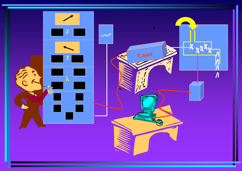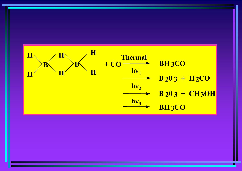

ш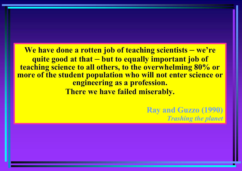**We have done a rotten job of teaching scientists – we're quite good at that but to equally important job of teaching science to all others, to the overwhelming 80% or more of the student population who will not enter science or engineering as a profession. There we have failed miserably.**

> **Ray and Guzzo (1990)** *Trashing the planet*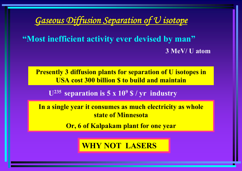#### *Gaseous Diffusion Separation of U isotope*

**"Most inefficient activity ever devised by man" 3 MeV/ U atom**

**Presently 3 diffusion plants for separation of U isotopes in USA cost 300 billion \$ to build and maintain**

**U235 separation is 5 x 10 9 \$ / yr industry**

**In a single year it consumes as much electricity as whole state of Minnesota**

**Or, 6 of Kalpakam plant for one year**

#### **WHY NOT LASERS**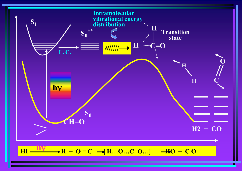